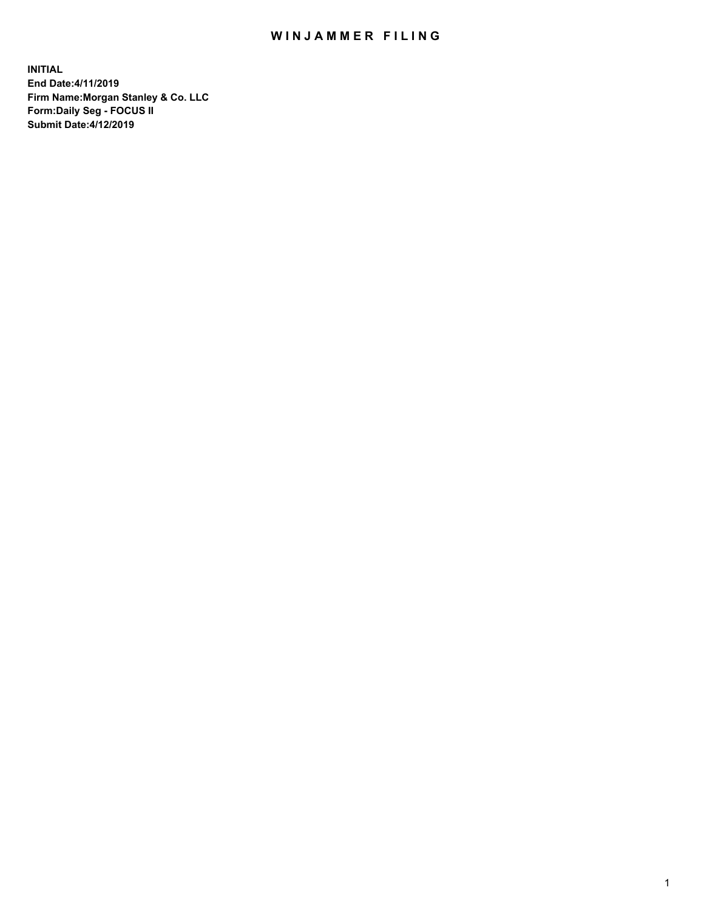## WIN JAMMER FILING

**INITIAL End Date:4/11/2019 Firm Name:Morgan Stanley & Co. LLC Form:Daily Seg - FOCUS II Submit Date:4/12/2019**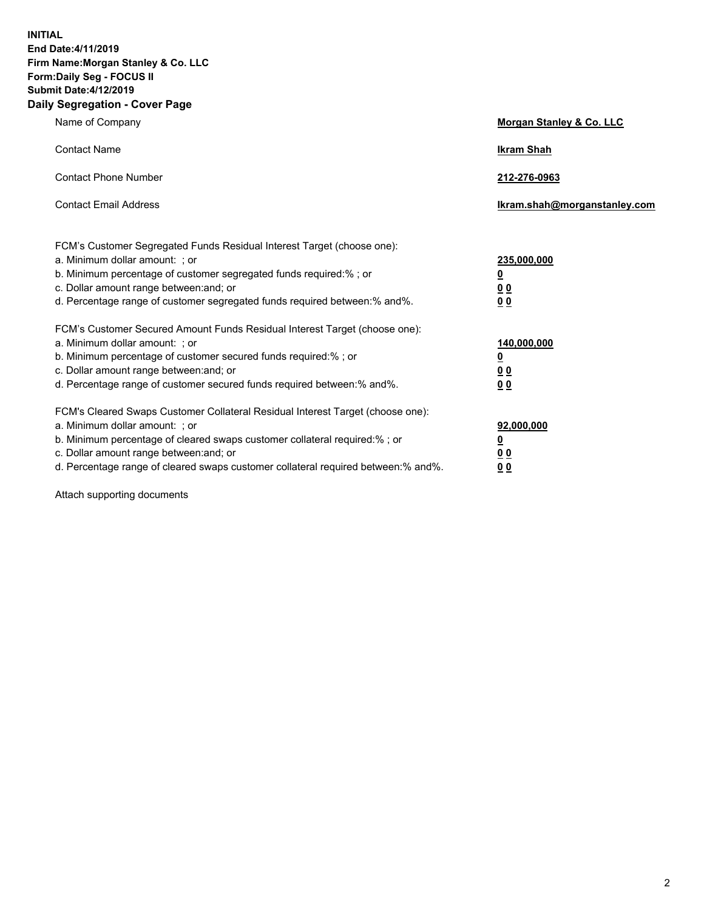**INITIAL End Date:4/11/2019 Firm Name:Morgan Stanley & Co. LLC Form:Daily Seg - FOCUS II Submit Date:4/12/2019 Daily Segregation - Cover Page**

| Name of Company                                                                   | Morgan Stanley & Co. LLC     |
|-----------------------------------------------------------------------------------|------------------------------|
| <b>Contact Name</b>                                                               | <b>Ikram Shah</b>            |
| <b>Contact Phone Number</b>                                                       | 212-276-0963                 |
| <b>Contact Email Address</b>                                                      | Ikram.shah@morganstanley.com |
| FCM's Customer Segregated Funds Residual Interest Target (choose one):            |                              |
| a. Minimum dollar amount: ; or                                                    | 235,000,000                  |
| b. Minimum percentage of customer segregated funds required:% ; or                | <u>0</u>                     |
| c. Dollar amount range between: and; or                                           | <u>0 0</u>                   |
| d. Percentage range of customer segregated funds required between: % and %.       | 0 Q                          |
| FCM's Customer Secured Amount Funds Residual Interest Target (choose one):        |                              |
| a. Minimum dollar amount: ; or                                                    | 140,000,000                  |
| b. Minimum percentage of customer secured funds required:%; or                    | <u>0</u>                     |
| c. Dollar amount range between: and; or                                           | 0 <sub>0</sub>               |
| d. Percentage range of customer secured funds required between:% and%.            | 0 <sub>0</sub>               |
| FCM's Cleared Swaps Customer Collateral Residual Interest Target (choose one):    |                              |
| a. Minimum dollar amount: ; or                                                    | 92,000,000                   |
| b. Minimum percentage of cleared swaps customer collateral required:% ; or        | <u>0</u>                     |
| c. Dollar amount range between: and; or                                           | 0 Q                          |
| d. Percentage range of cleared swaps customer collateral required between:% and%. | 00                           |

Attach supporting documents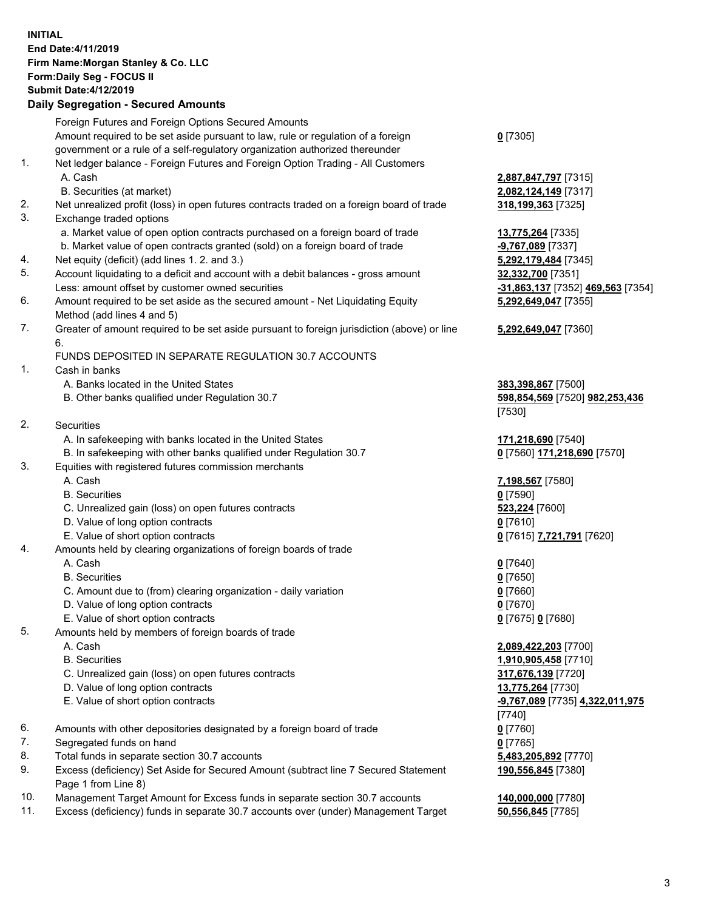## **INITIAL End Date:4/11/2019 Firm Name:Morgan Stanley & Co. LLC Form:Daily Seg - FOCUS II Submit Date:4/12/2019**

## **Daily Segregation - Secured Amounts**

|     | Foreign Futures and Foreign Options Secured Amounts                                         |                                   |
|-----|---------------------------------------------------------------------------------------------|-----------------------------------|
|     | Amount required to be set aside pursuant to law, rule or regulation of a foreign            | $0$ [7305]                        |
|     | government or a rule of a self-regulatory organization authorized thereunder                |                                   |
| 1.  | Net ledger balance - Foreign Futures and Foreign Option Trading - All Customers             |                                   |
|     | A. Cash                                                                                     | 2,887,847,797 [7315]              |
|     | B. Securities (at market)                                                                   | 2,082,124,149 [7317]              |
| 2.  | Net unrealized profit (loss) in open futures contracts traded on a foreign board of trade   | 318,199,363 [7325]                |
| 3.  | Exchange traded options                                                                     |                                   |
|     | a. Market value of open option contracts purchased on a foreign board of trade              | 13,775,264 [7335]                 |
|     | b. Market value of open contracts granted (sold) on a foreign board of trade                | $-9,767,089$ [7337]               |
| 4.  | Net equity (deficit) (add lines 1.2. and 3.)                                                | 5,292,179,484 [7345]              |
| 5.  | Account liquidating to a deficit and account with a debit balances - gross amount           | 32,332,700 [7351]                 |
|     | Less: amount offset by customer owned securities                                            | -31,863,137 [7352] 469,563 [7354] |
| 6.  | Amount required to be set aside as the secured amount - Net Liquidating Equity              | 5,292,649,047 [7355]              |
|     | Method (add lines 4 and 5)                                                                  |                                   |
| 7.  | Greater of amount required to be set aside pursuant to foreign jurisdiction (above) or line | 5,292,649,047 [7360]              |
|     | 6.                                                                                          |                                   |
|     | FUNDS DEPOSITED IN SEPARATE REGULATION 30.7 ACCOUNTS                                        |                                   |
| 1.  | Cash in banks                                                                               |                                   |
|     | A. Banks located in the United States                                                       | 383,398,867 [7500]                |
|     | B. Other banks qualified under Regulation 30.7                                              | 598,854,569 [7520] 982,253,436    |
| 2.  |                                                                                             | [7530]                            |
|     | Securities                                                                                  |                                   |
|     | A. In safekeeping with banks located in the United States                                   | 171,218,690 [7540]                |
| 3.  | B. In safekeeping with other banks qualified under Regulation 30.7                          | 0 [7560] 171,218,690 [7570]       |
|     | Equities with registered futures commission merchants                                       |                                   |
|     | A. Cash<br><b>B.</b> Securities                                                             | 7,198,567 [7580]<br>$0$ [7590]    |
|     | C. Unrealized gain (loss) on open futures contracts                                         | 523,224 [7600]                    |
|     | D. Value of long option contracts                                                           | $0$ [7610]                        |
|     | E. Value of short option contracts                                                          | 0 [7615] 7,721,791 [7620]         |
| 4.  | Amounts held by clearing organizations of foreign boards of trade                           |                                   |
|     | A. Cash                                                                                     | $0$ [7640]                        |
|     | <b>B.</b> Securities                                                                        | $0$ [7650]                        |
|     | C. Amount due to (from) clearing organization - daily variation                             | $0$ [7660]                        |
|     | D. Value of long option contracts                                                           | $0$ [7670]                        |
|     | E. Value of short option contracts                                                          | 0 [7675] 0 [7680]                 |
| 5.  | Amounts held by members of foreign boards of trade                                          |                                   |
|     | A. Cash                                                                                     | 2,089,422,203 [7700]              |
|     | <b>B.</b> Securities                                                                        | 1,910,905,458 [7710]              |
|     | C. Unrealized gain (loss) on open futures contracts                                         | 317,676,139 [7720]                |
|     | D. Value of long option contracts                                                           | 13,775,264 [7730]                 |
|     | E. Value of short option contracts                                                          | -9,767,089 [7735] 4,322,011,975   |
|     |                                                                                             | [7740]                            |
| 6.  | Amounts with other depositories designated by a foreign board of trade                      | $0$ [7760]                        |
| 7.  | Segregated funds on hand                                                                    | $0$ [7765]                        |
| 8.  | Total funds in separate section 30.7 accounts                                               | 5,483,205,892 [7770]              |
| 9.  | Excess (deficiency) Set Aside for Secured Amount (subtract line 7 Secured Statement         | 190,556,845 [7380]                |
|     | Page 1 from Line 8)                                                                         |                                   |
| 10. | Management Target Amount for Excess funds in separate section 30.7 accounts                 | 140,000,000 [7780]                |

11. Excess (deficiency) funds in separate 30.7 accounts over (under) Management Target **50,556,845** [7785]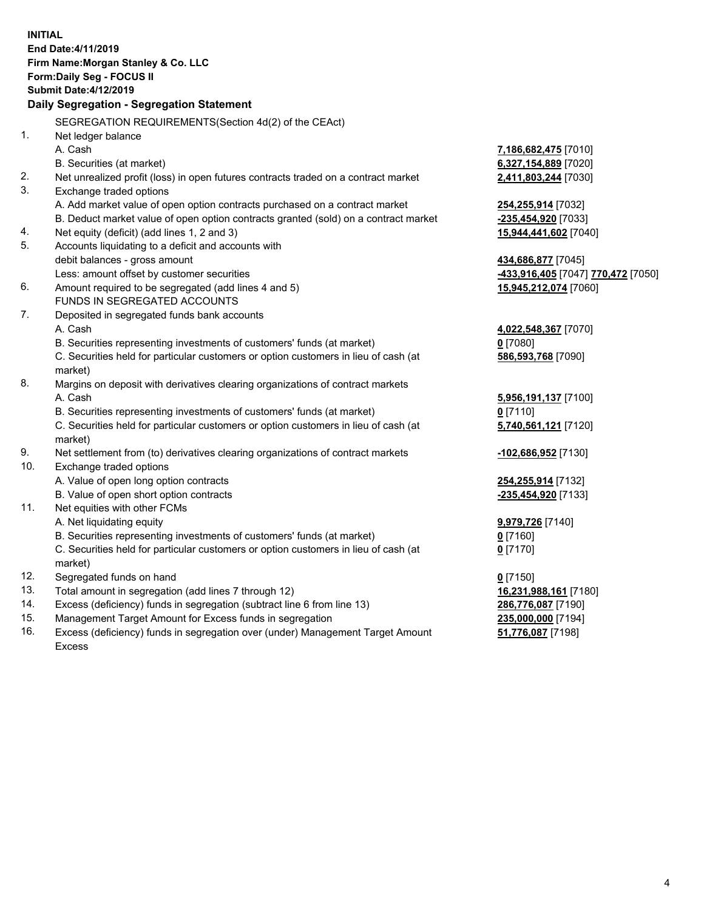|            | <b>INITIAL</b><br>End Date: 4/11/2019<br>Firm Name: Morgan Stanley & Co. LLC<br><b>Form:Daily Seg - FOCUS II</b><br><b>Submit Date:4/12/2019</b><br>Daily Segregation - Segregation Statement |                                                              |
|------------|-----------------------------------------------------------------------------------------------------------------------------------------------------------------------------------------------|--------------------------------------------------------------|
|            |                                                                                                                                                                                               |                                                              |
| 1.         | SEGREGATION REQUIREMENTS (Section 4d(2) of the CEAct)                                                                                                                                         |                                                              |
|            | Net ledger balance<br>A. Cash                                                                                                                                                                 | 7,186,682,475 [7010]                                         |
|            | B. Securities (at market)                                                                                                                                                                     | 6,327,154,889 [7020]                                         |
| 2.         | Net unrealized profit (loss) in open futures contracts traded on a contract market                                                                                                            | 2,411,803,244 [7030]                                         |
| 3.         | Exchange traded options                                                                                                                                                                       |                                                              |
|            | A. Add market value of open option contracts purchased on a contract market                                                                                                                   | <b>254,255,914</b> [7032]                                    |
|            | B. Deduct market value of open option contracts granted (sold) on a contract market                                                                                                           | <mark>-235,454,920</mark> [7033]                             |
| 4.         | Net equity (deficit) (add lines 1, 2 and 3)                                                                                                                                                   | 15,944,441,602 [7040]                                        |
| 5.         | Accounts liquidating to a deficit and accounts with                                                                                                                                           |                                                              |
|            | debit balances - gross amount                                                                                                                                                                 | 434,686,877 [7045]                                           |
|            | Less: amount offset by customer securities                                                                                                                                                    | <mark>-433,916,405</mark> [7047] <mark>770,472</mark> [7050] |
| 6.         | Amount required to be segregated (add lines 4 and 5)                                                                                                                                          | 15,945,212,074 [7060]                                        |
|            | FUNDS IN SEGREGATED ACCOUNTS                                                                                                                                                                  |                                                              |
| 7.         | Deposited in segregated funds bank accounts                                                                                                                                                   |                                                              |
|            | A. Cash                                                                                                                                                                                       | 4,022,548,367 [7070]                                         |
|            | B. Securities representing investments of customers' funds (at market)                                                                                                                        | $0$ [7080]                                                   |
|            | C. Securities held for particular customers or option customers in lieu of cash (at<br>market)                                                                                                | 586,593,768 [7090]                                           |
| 8.         | Margins on deposit with derivatives clearing organizations of contract markets                                                                                                                |                                                              |
|            | A. Cash                                                                                                                                                                                       | 5,956,191,137 [7100]                                         |
|            | B. Securities representing investments of customers' funds (at market)                                                                                                                        | $0$ [7110]                                                   |
|            | C. Securities held for particular customers or option customers in lieu of cash (at<br>market)                                                                                                | 5,740,561,121 [7120]                                         |
| 9.         | Net settlement from (to) derivatives clearing organizations of contract markets                                                                                                               | -102,686,952 [7130]                                          |
| 10.        | Exchange traded options                                                                                                                                                                       |                                                              |
|            | A. Value of open long option contracts                                                                                                                                                        | 254,255,914 [7132]                                           |
|            | B. Value of open short option contracts                                                                                                                                                       | -235,454,920 [7133]                                          |
| 11.        | Net equities with other FCMs                                                                                                                                                                  |                                                              |
|            | A. Net liquidating equity                                                                                                                                                                     | <b>9,979,726</b> [7140]                                      |
|            | B. Securities representing investments of customers' funds (at market)                                                                                                                        | $0$ [7160]                                                   |
|            | C. Securities held for particular customers or option customers in lieu of cash (at                                                                                                           | $0$ [7170]                                                   |
|            | market)                                                                                                                                                                                       |                                                              |
| 12.<br>13. | Segregated funds on hand<br>Total amount in segregation (add lines 7 through 12)                                                                                                              | $0$ [7150]                                                   |
| 14.        | Excess (deficiency) funds in segregation (subtract line 6 from line 13)                                                                                                                       | 16,231,988,161 [7180]                                        |
| 15.        | Management Target Amount for Excess funds in segregation                                                                                                                                      | 286,776,087 [7190]<br>235,000,000 [7194]                     |
|            |                                                                                                                                                                                               |                                                              |

16. Excess (deficiency) funds in segregation over (under) Management Target Amount Excess

**51,776,087** [7198]